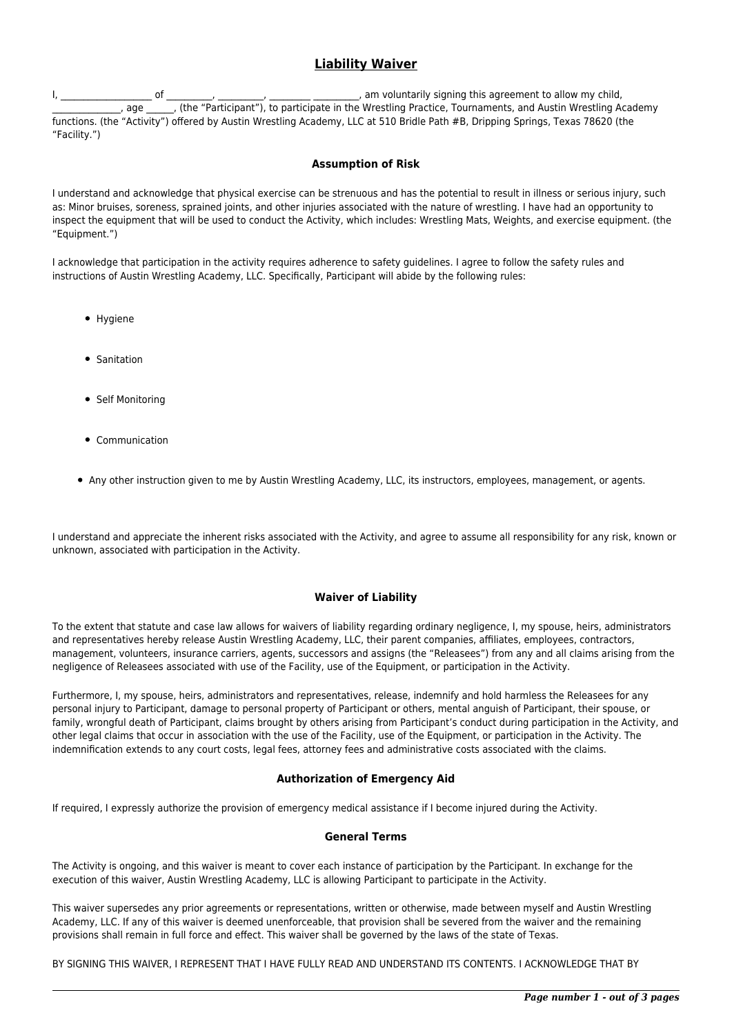# **Liability Waiver**

I, \_\_\_\_\_\_\_\_\_\_\_\_\_\_\_\_\_\_\_\_ of \_\_\_\_\_\_\_\_\_\_, \_\_\_\_\_\_\_\_\_\_, \_\_\_\_\_\_\_\_\_ \_\_\_\_\_\_\_\_\_\_, am voluntarily signing this agreement to allow my child, \_\_\_\_\_\_\_\_\_\_\_\_\_\_\_, age \_\_\_\_\_\_, (the "Participant"), to participate in the Wrestling Practice, Tournaments, and Austin Wrestling Academy functions. (the "Activity") offered by Austin Wrestling Academy, LLC at 510 Bridle Path #B, Dripping Springs, Texas 78620 (the "Facility.")

## **Assumption of Risk**

I understand and acknowledge that physical exercise can be strenuous and has the potential to result in illness or serious injury, such as: Minor bruises, soreness, sprained joints, and other injuries associated with the nature of wrestling. I have had an opportunity to inspect the equipment that will be used to conduct the Activity, which includes: Wrestling Mats, Weights, and exercise equipment. (the "Equipment.")

I acknowledge that participation in the activity requires adherence to safety guidelines. I agree to follow the safety rules and instructions of Austin Wrestling Academy, LLC. Specifically, Participant will abide by the following rules:

- Hygiene
- **•** Sanitation
- Self Monitoring
- Communication
- Any other instruction given to me by Austin Wrestling Academy, LLC, its instructors, employees, management, or agents.

I understand and appreciate the inherent risks associated with the Activity, and agree to assume all responsibility for any risk, known or unknown, associated with participation in the Activity.

## **Waiver of Liability**

To the extent that statute and case law allows for waivers of liability regarding ordinary negligence, I, my spouse, heirs, administrators and representatives hereby release Austin Wrestling Academy, LLC, their parent companies, affiliates, employees, contractors, management, volunteers, insurance carriers, agents, successors and assigns (the "Releasees") from any and all claims arising from the negligence of Releasees associated with use of the Facility, use of the Equipment, or participation in the Activity.

Furthermore, I, my spouse, heirs, administrators and representatives, release, indemnify and hold harmless the Releasees for any personal injury to Participant, damage to personal property of Participant or others, mental anguish of Participant, their spouse, or family, wrongful death of Participant, claims brought by others arising from Participant's conduct during participation in the Activity, and other legal claims that occur in association with the use of the Facility, use of the Equipment, or participation in the Activity. The indemnification extends to any court costs, legal fees, attorney fees and administrative costs associated with the claims.

#### **Authorization of Emergency Aid**

If required, I expressly authorize the provision of emergency medical assistance if I become injured during the Activity.

#### **General Terms**

The Activity is ongoing, and this waiver is meant to cover each instance of participation by the Participant. In exchange for the execution of this waiver, Austin Wrestling Academy, LLC is allowing Participant to participate in the Activity.

This waiver supersedes any prior agreements or representations, written or otherwise, made between myself and Austin Wrestling Academy, LLC. If any of this waiver is deemed unenforceable, that provision shall be severed from the waiver and the remaining provisions shall remain in full force and effect. This waiver shall be governed by the laws of the state of Texas.

BY SIGNING THIS WAIVER, I REPRESENT THAT I HAVE FULLY READ AND UNDERSTAND ITS CONTENTS. I ACKNOWLEDGE THAT BY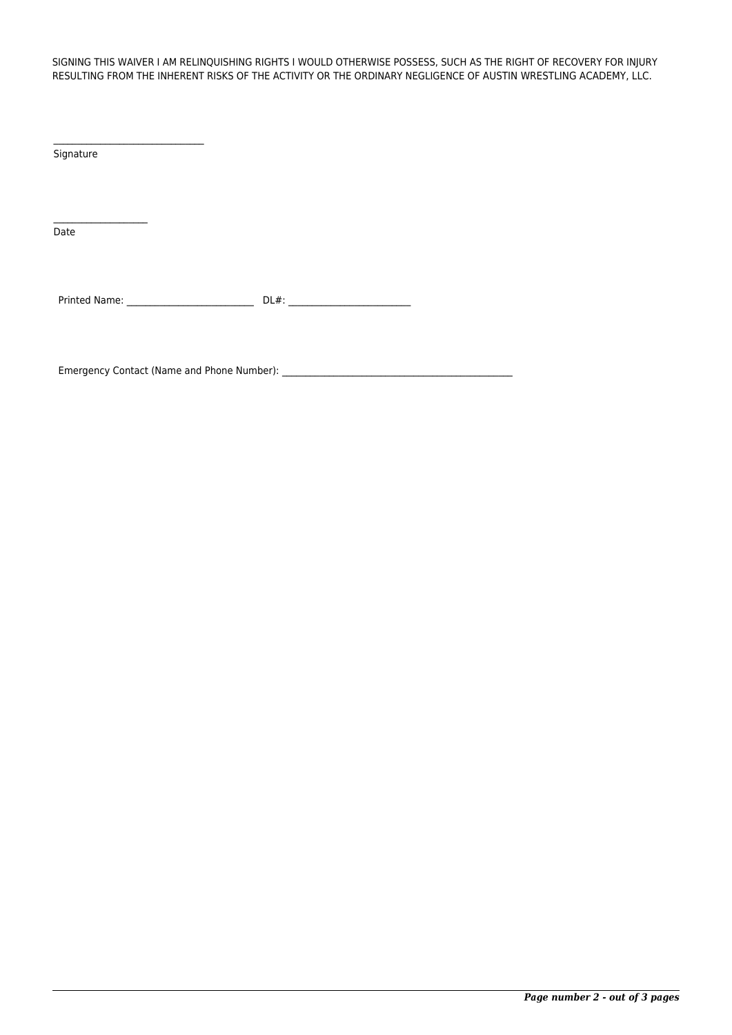SIGNING THIS WAIVER I AM RELINQUISHING RIGHTS I WOULD OTHERWISE POSSESS, SUCH AS THE RIGHT OF RECOVERY FOR INJURY RESULTING FROM THE INHERENT RISKS OF THE ACTIVITY OR THE ORDINARY NEGLIGENCE OF AUSTIN WRESTLING ACADEMY, LLC.

Signature

Date

Printed Name: \_\_\_\_\_\_\_\_\_\_\_\_\_\_\_\_\_\_\_\_\_\_\_\_\_\_\_ DL#: \_\_\_\_\_\_\_\_\_\_\_\_\_\_\_\_\_\_\_\_\_\_\_\_\_\_

Emergency Contact (Name and Phone Number): \_\_\_\_\_\_\_\_\_\_\_\_\_\_\_\_\_\_\_\_\_\_\_\_\_\_\_\_\_\_\_\_\_\_\_\_\_\_\_\_\_\_\_\_\_\_\_\_\_